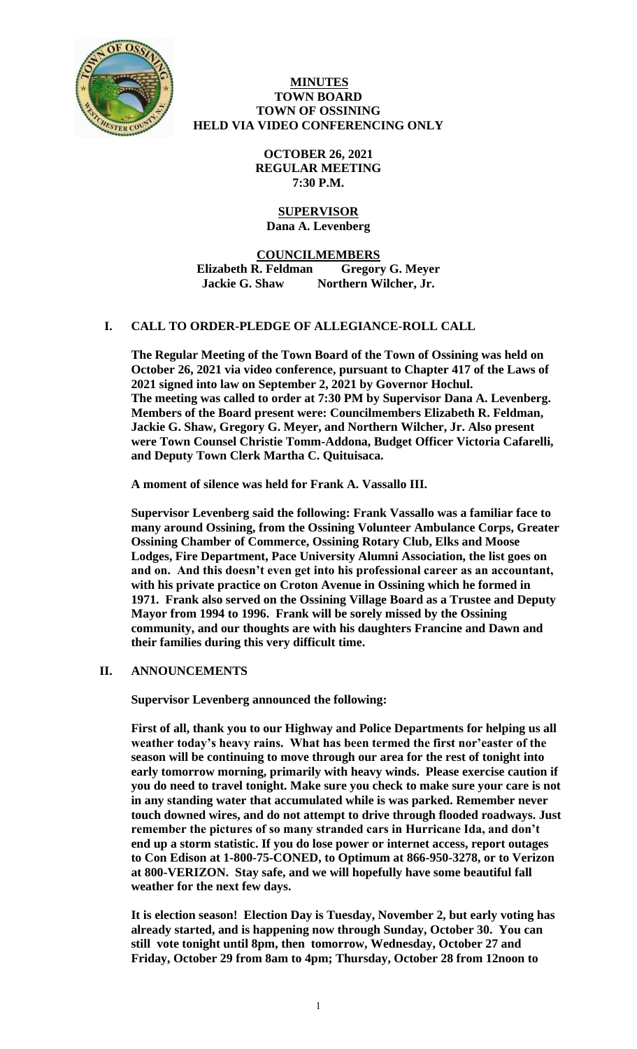

#### **MINUTES TOWN BOARD TOWN OF OSSINING HELD VIA VIDEO CONFERENCING ONLY**

**OCTOBER 26, 2021 REGULAR MEETING 7:30 P.M.**

## **SUPERVISOR Dana A. Levenberg**

**COUNCILMEMBERS Elizabeth R. Feldman Gregory G. Meyer Jackie G. Shaw Northern Wilcher, Jr.**

# **I. CALL TO ORDER-PLEDGE OF ALLEGIANCE-ROLL CALL**

**The Regular Meeting of the Town Board of the Town of Ossining was held on October 26, 2021 via video conference, pursuant to Chapter 417 of the Laws of 2021 signed into law on September 2, 2021 by Governor Hochul. The meeting was called to order at 7:30 PM by Supervisor Dana A. Levenberg. Members of the Board present were: Councilmembers Elizabeth R. Feldman, Jackie G. Shaw, Gregory G. Meyer, and Northern Wilcher, Jr. Also present were Town Counsel Christie Tomm-Addona, Budget Officer Victoria Cafarelli, and Deputy Town Clerk Martha C. Quituisaca.** 

**A moment of silence was held for Frank A. Vassallo III.** 

**Supervisor Levenberg said the following: Frank Vassallo was a familiar face to many around Ossining, from the Ossining Volunteer Ambulance Corps, Greater Ossining Chamber of Commerce, Ossining Rotary Club, Elks and Moose Lodges, Fire Department, Pace University Alumni Association, the list goes on and on. And this doesn't even get into his professional career as an accountant, with his private practice on Croton Avenue in Ossining which he formed in 1971. Frank also served on the Ossining Village Board as a Trustee and Deputy Mayor from 1994 to 1996. Frank will be sorely missed by the Ossining community, and our thoughts are with his daughters Francine and Dawn and their families during this very difficult time.**

# **II. ANNOUNCEMENTS**

**Supervisor Levenberg announced the following:**

**First of all, thank you to our Highway and Police Departments for helping us all weather today's heavy rains. What has been termed the first nor'easter of the season will be continuing to move through our area for the rest of tonight into early tomorrow morning, primarily with heavy winds. Please exercise caution if you do need to travel tonight. Make sure you check to make sure your care is not in any standing water that accumulated while is was parked. Remember never touch downed wires, and do not attempt to drive through flooded roadways. Just remember the pictures of so many stranded cars in Hurricane Ida, and don't end up a storm statistic. If you do lose power or internet access, report outages to Con Edison at 1-800-75-CONED, to Optimum at 866-950-3278, or to Verizon at 800-VERIZON. Stay safe, and we will hopefully have some beautiful fall weather for the next few days.** 

**It is election season! Election Day is Tuesday, November 2, but early voting has already started, and is happening now through Sunday, October 30. You can still vote tonight until 8pm, then tomorrow, Wednesday, October 27 and Friday, October 29 from 8am to 4pm; Thursday, October 28 from 12noon to**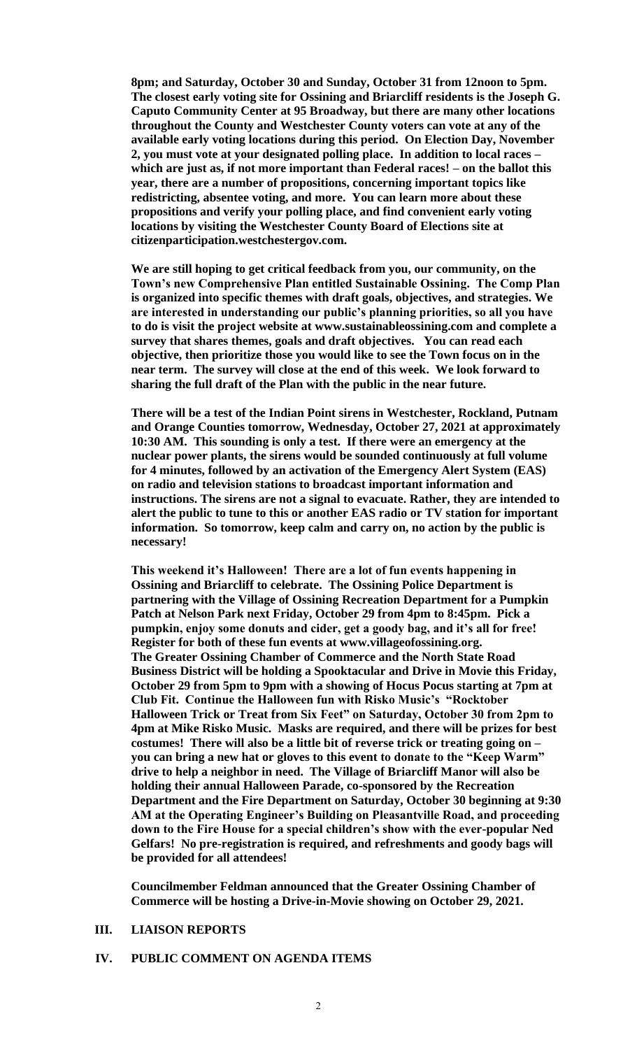**8pm; and Saturday, October 30 and Sunday, October 31 from 12noon to 5pm. The closest early voting site for Ossining and Briarcliff residents is the Joseph G. Caputo Community Center at 95 Broadway, but there are many other locations throughout the County and Westchester County voters can vote at any of the available early voting locations during this period. On Election Day, November 2, you must vote at your designated polling place. In addition to local races – which are just as, if not more important than Federal races! – on the ballot this year, there are a number of propositions, concerning important topics like redistricting, absentee voting, and more. You can learn more about these propositions and verify your polling place, and find convenient early voting locations by visiting the Westchester County Board of Elections site at citizenparticipation.westchestergov.com.** 

**We are still hoping to get critical feedback from you, our community, on the Town's new Comprehensive Plan entitled Sustainable Ossining. The Comp Plan is organized into specific themes with draft goals, objectives, and strategies. We are interested in understanding our public's planning priorities, so all you have to do is visit the project website at www.sustainableossining.com and complete a survey that shares themes, goals and draft objectives. You can read each objective, then prioritize those you would like to see the Town focus on in the near term. The survey will close at the end of this week. We look forward to sharing the full draft of the Plan with the public in the near future.** 

**There will be a test of the Indian Point sirens in Westchester, Rockland, Putnam and Orange Counties tomorrow, Wednesday, October 27, 2021 at approximately 10:30 AM. This sounding is only a test. If there were an emergency at the nuclear power plants, the sirens would be sounded continuously at full volume for 4 minutes, followed by an activation of the Emergency Alert System (EAS) on radio and television stations to broadcast important information and instructions. The sirens are not a signal to evacuate. Rather, they are intended to alert the public to tune to this or another EAS radio or TV station for important information. So tomorrow, keep calm and carry on, no action by the public is necessary!**

**This weekend it's Halloween! There are a lot of fun events happening in Ossining and Briarcliff to celebrate. The Ossining Police Department is partnering with the Village of Ossining Recreation Department for a Pumpkin Patch at Nelson Park next Friday, October 29 from 4pm to 8:45pm. Pick a pumpkin, enjoy some donuts and cider, get a goody bag, and it's all for free! Register for both of these fun events at www.villageofossining.org. The Greater Ossining Chamber of Commerce and the North State Road Business District will be holding a Spooktacular and Drive in Movie this Friday, October 29 from 5pm to 9pm with a showing of Hocus Pocus starting at 7pm at Club Fit. Continue the Halloween fun with Risko Music's "Rocktober Halloween Trick or Treat from Six Feet" on Saturday, October 30 from 2pm to 4pm at Mike Risko Music. Masks are required, and there will be prizes for best costumes! There will also be a little bit of reverse trick or treating going on – you can bring a new hat or gloves to this event to donate to the "Keep Warm" drive to help a neighbor in need. The Village of Briarcliff Manor will also be holding their annual Halloween Parade, co-sponsored by the Recreation Department and the Fire Department on Saturday, October 30 beginning at 9:30 AM at the Operating Engineer's Building on Pleasantville Road, and proceeding down to the Fire House for a special children's show with the ever-popular Ned Gelfars! No pre-registration is required, and refreshments and goody bags will be provided for all attendees!** 

**Councilmember Feldman announced that the Greater Ossining Chamber of Commerce will be hosting a Drive-in-Movie showing on October 29, 2021.**

#### **III. LIAISON REPORTS**

#### **IV. PUBLIC COMMENT ON AGENDA ITEMS**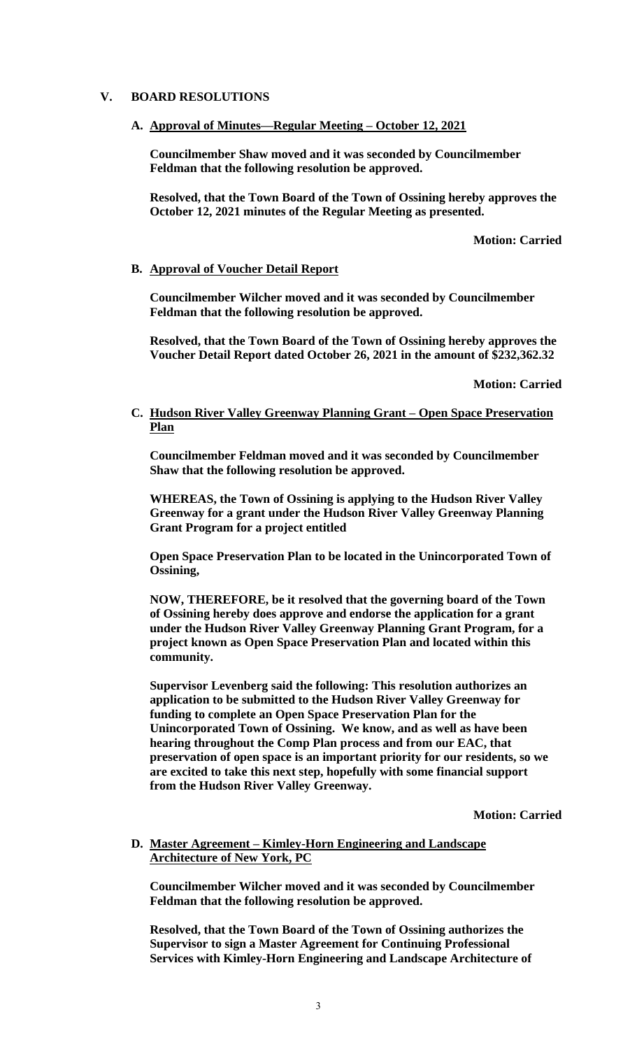## **V. BOARD RESOLUTIONS**

**A. Approval of Minutes—Regular Meeting – October 12, 2021**

**Councilmember Shaw moved and it was seconded by Councilmember Feldman that the following resolution be approved.**

**Resolved, that the Town Board of the Town of Ossining hereby approves the October 12, 2021 minutes of the Regular Meeting as presented.**

**Motion: Carried**

#### **B. Approval of Voucher Detail Report**

**Councilmember Wilcher moved and it was seconded by Councilmember Feldman that the following resolution be approved.**

**Resolved, that the Town Board of the Town of Ossining hereby approves the Voucher Detail Report dated October 26, 2021 in the amount of \$232,362.32**

**Motion: Carried**

## **C. Hudson River Valley Greenway Planning Grant – Open Space Preservation Plan**

**Councilmember Feldman moved and it was seconded by Councilmember Shaw that the following resolution be approved.**

**WHEREAS, the Town of Ossining is applying to the Hudson River Valley Greenway for a grant under the Hudson River Valley Greenway Planning Grant Program for a project entitled**

**Open Space Preservation Plan to be located in the Unincorporated Town of Ossining,**

**NOW, THEREFORE, be it resolved that the governing board of the Town of Ossining hereby does approve and endorse the application for a grant under the Hudson River Valley Greenway Planning Grant Program, for a project known as Open Space Preservation Plan and located within this community.**

**Supervisor Levenberg said the following: This resolution authorizes an application to be submitted to the Hudson River Valley Greenway for funding to complete an Open Space Preservation Plan for the Unincorporated Town of Ossining. We know, and as well as have been hearing throughout the Comp Plan process and from our EAC, that preservation of open space is an important priority for our residents, so we are excited to take this next step, hopefully with some financial support from the Hudson River Valley Greenway.**

**Motion: Carried**

#### **D. Master Agreement – Kimley-Horn Engineering and Landscape Architecture of New York, PC**

**Councilmember Wilcher moved and it was seconded by Councilmember Feldman that the following resolution be approved.**

**Resolved, that the Town Board of the Town of Ossining authorizes the Supervisor to sign a Master Agreement for Continuing Professional Services with Kimley-Horn Engineering and Landscape Architecture of**